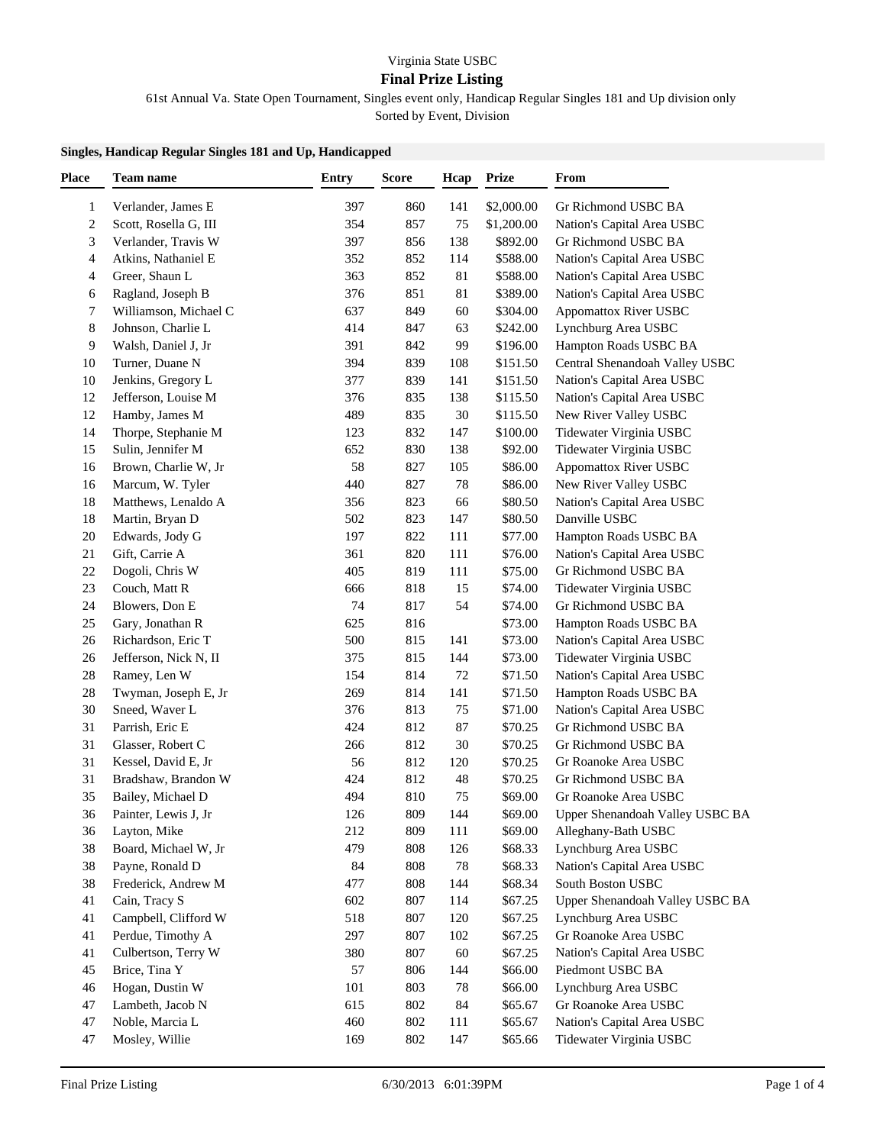## Virginia State USBC

## **Final Prize Listing**

61st Annual Va. State Open Tournament, Singles event only, Handicap Regular Singles 181 and Up division only

Sorted by Event, Division

## **Singles, Handicap Regular Singles 181 and Up, Handicapped**

| <b>Place</b>            | Team name             | <b>Entry</b> | <b>Score</b> | Hcap | <b>Prize</b> | From                            |
|-------------------------|-----------------------|--------------|--------------|------|--------------|---------------------------------|
| 1                       | Verlander, James E    | 397          | 860          | 141  | \$2,000.00   | Gr Richmond USBC BA             |
| $\overline{\mathbf{c}}$ | Scott, Rosella G, III | 354          | 857          | 75   | \$1,200.00   | Nation's Capital Area USBC      |
| 3                       | Verlander, Travis W   | 397          | 856          | 138  | \$892.00     | Gr Richmond USBC BA             |
| 4                       | Atkins, Nathaniel E   | 352          | 852          | 114  | \$588.00     | Nation's Capital Area USBC      |
| 4                       | Greer, Shaun L        | 363          | 852          | 81   | \$588.00     | Nation's Capital Area USBC      |
| 6                       | Ragland, Joseph B     | 376          | 851          | 81   | \$389.00     | Nation's Capital Area USBC      |
| 7                       | Williamson, Michael C | 637          | 849          | 60   | \$304.00     | <b>Appomattox River USBC</b>    |
| 8                       | Johnson, Charlie L    | 414          | 847          | 63   | \$242.00     | Lynchburg Area USBC             |
| 9                       | Walsh, Daniel J, Jr   | 391          | 842          | 99   | \$196.00     | Hampton Roads USBC BA           |
| 10                      | Turner, Duane N       | 394          | 839          | 108  | \$151.50     | Central Shenandoah Valley USBC  |
| 10                      | Jenkins, Gregory L    | 377          | 839          | 141  | \$151.50     |                                 |
|                         |                       |              |              |      |              | Nation's Capital Area USBC      |
| 12                      | Jefferson, Louise M   | 376          | 835          | 138  | \$115.50     | Nation's Capital Area USBC      |
| 12                      | Hamby, James M        | 489          | 835          | 30   | \$115.50     | New River Valley USBC           |
| 14                      | Thorpe, Stephanie M   | 123          | 832          | 147  | \$100.00     | Tidewater Virginia USBC         |
| 15                      | Sulin, Jennifer M     | 652          | 830          | 138  | \$92.00      | Tidewater Virginia USBC         |
| 16                      | Brown, Charlie W, Jr  | 58           | 827          | 105  | \$86.00      | <b>Appomattox River USBC</b>    |
| 16                      | Marcum, W. Tyler      | 440          | 827          | 78   | \$86.00      | New River Valley USBC           |
| 18                      | Matthews, Lenaldo A   | 356          | 823          | 66   | \$80.50      | Nation's Capital Area USBC      |
| 18                      | Martin, Bryan D       | 502          | 823          | 147  | \$80.50      | Danville USBC                   |
| 20                      | Edwards, Jody G       | 197          | 822          | 111  | \$77.00      | Hampton Roads USBC BA           |
| 21                      | Gift, Carrie A        | 361          | 820          | 111  | \$76.00      | Nation's Capital Area USBC      |
| 22                      | Dogoli, Chris W       | 405          | 819          | 111  | \$75.00      | Gr Richmond USBC BA             |
| 23                      | Couch, Matt R         | 666          | 818          | 15   | \$74.00      | Tidewater Virginia USBC         |
| 24                      | Blowers, Don E        | 74           | 817          | 54   | \$74.00      | Gr Richmond USBC BA             |
| 25                      | Gary, Jonathan R      | 625          | 816          |      | \$73.00      | Hampton Roads USBC BA           |
| 26                      | Richardson, Eric T    | 500          | 815          | 141  | \$73.00      | Nation's Capital Area USBC      |
| 26                      | Jefferson, Nick N, II | 375          | 815          | 144  | \$73.00      | Tidewater Virginia USBC         |
| 28                      | Ramey, Len W          | 154          | 814          | 72   | \$71.50      | Nation's Capital Area USBC      |
| 28                      | Twyman, Joseph E, Jr  | 269          | 814          | 141  | \$71.50      | Hampton Roads USBC BA           |
| 30                      | Sneed, Waver L        | 376          | 813          | 75   | \$71.00      | Nation's Capital Area USBC      |
| 31                      | Parrish, Eric E       | 424          | 812          | 87   | \$70.25      | Gr Richmond USBC BA             |
| 31                      | Glasser, Robert C     | 266          | 812          | 30   | \$70.25      | Gr Richmond USBC BA             |
| 31                      | Kessel, David E, Jr   | 56           | 812          | 120  | \$70.25      | Gr Roanoke Area USBC            |
| 31                      | Bradshaw, Brandon W   | 424          | 812          | 48   | \$70.25      | Gr Richmond USBC BA             |
| 35                      | Bailey, Michael D     | 494          | 810          | 75   | \$69.00      | Gr Roanoke Area USBC            |
| 36                      | Painter, Lewis J, Jr  | 126          | 809          | 144  | \$69.00      | Upper Shenandoah Valley USBC BA |
| 36                      | Layton, Mike          | 212          | 809          | 111  | \$69.00      | Alleghany-Bath USBC             |
| 38                      | Board, Michael W, Jr  | 479          | 808          | 126  | \$68.33      | Lynchburg Area USBC             |
| 38                      | Payne, Ronald D       | 84           | 808          | 78   | \$68.33      | Nation's Capital Area USBC      |
| 38                      | Frederick, Andrew M   | 477          | 808          | 144  | \$68.34      | South Boston USBC               |
| 41                      | Cain, Tracy S         | 602          | 807          | 114  | \$67.25      | Upper Shenandoah Valley USBC BA |
| 41                      | Campbell, Clifford W  | 518          | 807          | 120  | \$67.25      | Lynchburg Area USBC             |
| 41                      | Perdue, Timothy A     | 297          | 807          | 102  | \$67.25      | Gr Roanoke Area USBC            |
| 41                      | Culbertson, Terry W   | 380          | 807          | 60   | \$67.25      | Nation's Capital Area USBC      |
| 45                      | Brice, Tina Y         | 57           | 806          | 144  | \$66.00      | Piedmont USBC BA                |
| 46                      | Hogan, Dustin W       | 101          | 803          | 78   | \$66.00      | Lynchburg Area USBC             |
| 47                      | Lambeth, Jacob N      | 615          | 802          | 84   | \$65.67      | Gr Roanoke Area USBC            |
| 47                      | Noble, Marcia L       | 460          | 802          | 111  | \$65.67      | Nation's Capital Area USBC      |
| 47                      | Mosley, Willie        | 169          | 802          | 147  | \$65.66      | Tidewater Virginia USBC         |
|                         |                       |              |              |      |              |                                 |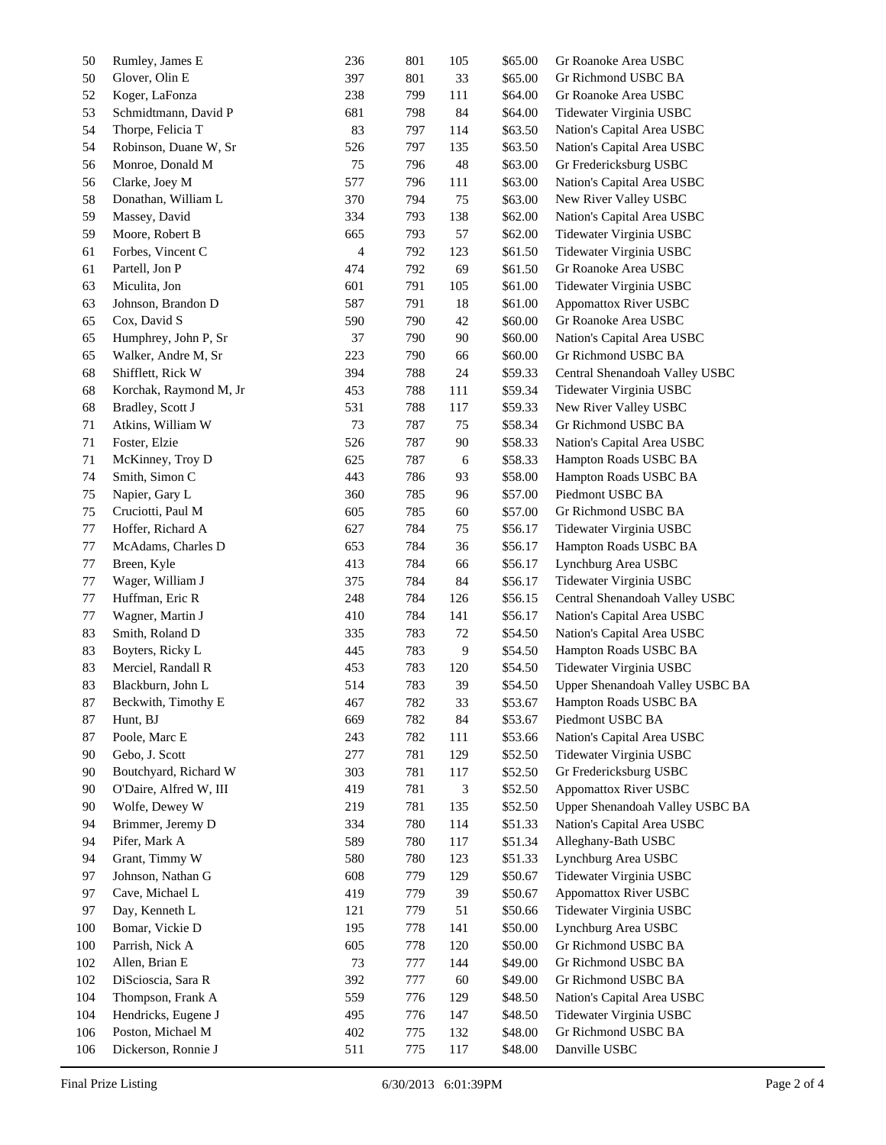| 50  | Rumley, James E        | 236 | 801 | 105 | \$65.00 | Gr Roanoke Area USBC            |
|-----|------------------------|-----|-----|-----|---------|---------------------------------|
| 50  | Glover, Olin E         | 397 | 801 | 33  | \$65.00 | Gr Richmond USBC BA             |
| 52  | Koger, LaFonza         | 238 | 799 | 111 | \$64.00 | Gr Roanoke Area USBC            |
| 53  | Schmidtmann, David P   | 681 | 798 | 84  | \$64.00 | Tidewater Virginia USBC         |
| 54  | Thorpe, Felicia T      | 83  | 797 | 114 | \$63.50 | Nation's Capital Area USBC      |
| 54  | Robinson, Duane W, Sr  | 526 | 797 | 135 | \$63.50 | Nation's Capital Area USBC      |
| 56  | Monroe, Donald M       | 75  | 796 | 48  | \$63.00 | Gr Fredericksburg USBC          |
| 56  | Clarke, Joey M         | 577 | 796 | 111 | \$63.00 | Nation's Capital Area USBC      |
| 58  | Donathan, William L    | 370 | 794 | 75  | \$63.00 | New River Valley USBC           |
| 59  | Massey, David          | 334 | 793 | 138 | \$62.00 | Nation's Capital Area USBC      |
| 59  | Moore, Robert B        | 665 | 793 | 57  | \$62.00 | Tidewater Virginia USBC         |
| 61  | Forbes, Vincent C      | 4   | 792 | 123 | \$61.50 | Tidewater Virginia USBC         |
| 61  | Partell, Jon P         | 474 | 792 | 69  | \$61.50 | Gr Roanoke Area USBC            |
| 63  | Miculita, Jon          | 601 | 791 | 105 | \$61.00 | Tidewater Virginia USBC         |
| 63  | Johnson, Brandon D     | 587 | 791 | 18  | \$61.00 | <b>Appomattox River USBC</b>    |
| 65  | Cox, David S           | 590 | 790 | 42  | \$60.00 | Gr Roanoke Area USBC            |
| 65  | Humphrey, John P, Sr   | 37  | 790 | 90  | \$60.00 | Nation's Capital Area USBC      |
| 65  | Walker, Andre M, Sr    | 223 | 790 | 66  | \$60.00 | Gr Richmond USBC BA             |
| 68  | Shifflett, Rick W      | 394 | 788 | 24  | \$59.33 | Central Shenandoah Valley USBC  |
| 68  | Korchak, Raymond M, Jr | 453 | 788 | 111 | \$59.34 | Tidewater Virginia USBC         |
| 68  | Bradley, Scott J       | 531 | 788 | 117 | \$59.33 | New River Valley USBC           |
| 71  | Atkins, William W      | 73  | 787 | 75  | \$58.34 | Gr Richmond USBC BA             |
| 71  | Foster, Elzie          | 526 | 787 | 90  | \$58.33 | Nation's Capital Area USBC      |
| 71  | McKinney, Troy D       | 625 | 787 |     | \$58.33 | Hampton Roads USBC BA           |
|     |                        |     |     | 6   |         |                                 |
| 74  | Smith, Simon C         | 443 | 786 | 93  | \$58.00 | Hampton Roads USBC BA           |
| 75  | Napier, Gary L         | 360 | 785 | 96  | \$57.00 | Piedmont USBC BA                |
| 75  | Cruciotti, Paul M      | 605 | 785 | 60  | \$57.00 | Gr Richmond USBC BA             |
| 77  | Hoffer, Richard A      | 627 | 784 | 75  | \$56.17 | Tidewater Virginia USBC         |
| 77  | McAdams, Charles D     | 653 | 784 | 36  | \$56.17 | Hampton Roads USBC BA           |
| 77  | Breen, Kyle            | 413 | 784 | 66  | \$56.17 | Lynchburg Area USBC             |
| 77  | Wager, William J       | 375 | 784 | 84  | \$56.17 | Tidewater Virginia USBC         |
| 77  | Huffman, Eric R        | 248 | 784 | 126 | \$56.15 | Central Shenandoah Valley USBC  |
| 77  | Wagner, Martin J       | 410 | 784 | 141 | \$56.17 | Nation's Capital Area USBC      |
| 83  | Smith, Roland D        | 335 | 783 | 72  | \$54.50 | Nation's Capital Area USBC      |
| 83  | Boyters, Ricky L       | 445 | 783 | 9   | \$54.50 | Hampton Roads USBC BA           |
| 83  | Merciel, Randall R     | 453 | 783 | 120 | \$54.50 | Tidewater Virginia USBC         |
| 83  | Blackburn, John L      | 514 | 783 | 39  | \$54.50 | Upper Shenandoah Valley USBC BA |
| 87  | Beckwith, Timothy E    | 467 | 782 | 33  | \$53.67 | Hampton Roads USBC BA           |
| 87  | Hunt, BJ               | 669 | 782 | 84  | \$53.67 | Piedmont USBC BA                |
| 87  | Poole, Marc E          | 243 | 782 | 111 | \$53.66 | Nation's Capital Area USBC      |
| 90  | Gebo, J. Scott         | 277 | 781 | 129 | \$52.50 | Tidewater Virginia USBC         |
| 90  | Boutchyard, Richard W  | 303 | 781 | 117 | \$52.50 | Gr Fredericksburg USBC          |
| 90  | O'Daire, Alfred W, III | 419 | 781 | 3   | \$52.50 | Appomattox River USBC           |
| 90  | Wolfe, Dewey W         | 219 | 781 | 135 | \$52.50 | Upper Shenandoah Valley USBC BA |
| 94  | Brimmer, Jeremy D      | 334 | 780 | 114 | \$51.33 | Nation's Capital Area USBC      |
| 94  | Pifer, Mark A          | 589 | 780 | 117 | \$51.34 | Alleghany-Bath USBC             |
| 94  | Grant, Timmy W         | 580 | 780 | 123 | \$51.33 | Lynchburg Area USBC             |
| 97  | Johnson, Nathan G      | 608 | 779 | 129 | \$50.67 | Tidewater Virginia USBC         |
| 97  | Cave, Michael L        | 419 | 779 | 39  | \$50.67 | <b>Appomattox River USBC</b>    |
| 97  | Day, Kenneth L         | 121 | 779 | 51  | \$50.66 | Tidewater Virginia USBC         |
| 100 | Bomar, Vickie D        | 195 | 778 | 141 | \$50.00 | Lynchburg Area USBC             |
| 100 | Parrish, Nick A        | 605 | 778 | 120 | \$50.00 | Gr Richmond USBC BA             |
| 102 | Allen, Brian E         | 73  | 777 | 144 | \$49.00 | Gr Richmond USBC BA             |
| 102 | DiScioscia, Sara R     | 392 | 777 | 60  | \$49.00 | Gr Richmond USBC BA             |
| 104 | Thompson, Frank A      | 559 | 776 | 129 | \$48.50 | Nation's Capital Area USBC      |
| 104 | Hendricks, Eugene J    | 495 | 776 | 147 | \$48.50 | Tidewater Virginia USBC         |
| 106 | Poston, Michael M      | 402 | 775 | 132 | \$48.00 | Gr Richmond USBC BA             |
| 106 | Dickerson, Ronnie J    | 511 | 775 | 117 | \$48.00 | Danville USBC                   |
|     |                        |     |     |     |         |                                 |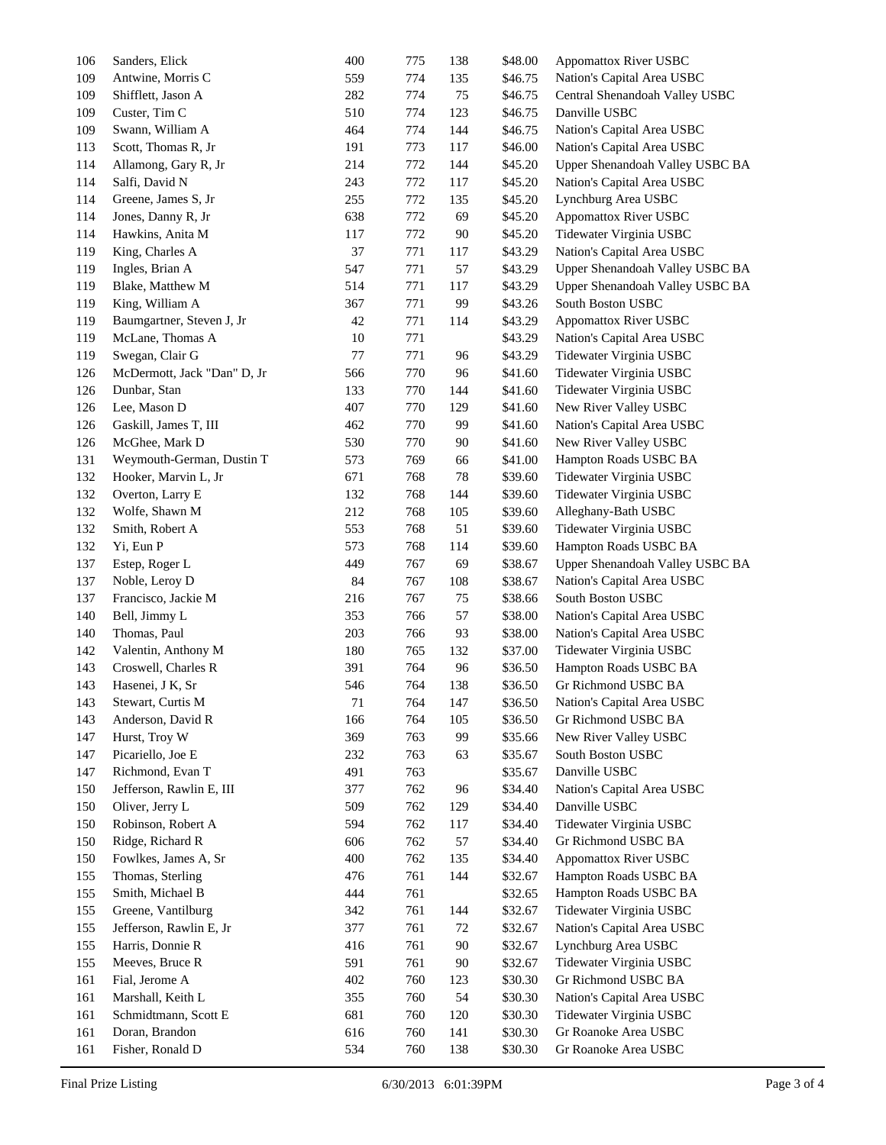| 106 | Sanders, Elick              | 400 | 775 | 138 | \$48.00 | <b>Appomattox River USBC</b>    |
|-----|-----------------------------|-----|-----|-----|---------|---------------------------------|
| 109 | Antwine, Morris C           | 559 | 774 | 135 | \$46.75 | Nation's Capital Area USBC      |
| 109 | Shifflett, Jason A          | 282 | 774 | 75  | \$46.75 | Central Shenandoah Valley USBC  |
| 109 | Custer, Tim C               | 510 | 774 | 123 | \$46.75 | Danville USBC                   |
| 109 | Swann, William A            | 464 | 774 | 144 | \$46.75 | Nation's Capital Area USBC      |
| 113 | Scott, Thomas R, Jr         | 191 | 773 | 117 | \$46.00 | Nation's Capital Area USBC      |
| 114 | Allamong, Gary R, Jr        | 214 | 772 | 144 | \$45.20 | Upper Shenandoah Valley USBC BA |
| 114 | Salfi, David N              | 243 | 772 | 117 | \$45.20 | Nation's Capital Area USBC      |
| 114 | Greene, James S, Jr         | 255 | 772 | 135 | \$45.20 | Lynchburg Area USBC             |
| 114 | Jones, Danny R, Jr          | 638 | 772 | 69  | \$45.20 | Appomattox River USBC           |
| 114 | Hawkins, Anita M            | 117 | 772 | 90  | \$45.20 | Tidewater Virginia USBC         |
| 119 | King, Charles A             | 37  | 771 | 117 | \$43.29 | Nation's Capital Area USBC      |
| 119 | Ingles, Brian A             | 547 | 771 | 57  | \$43.29 | Upper Shenandoah Valley USBC BA |
| 119 | Blake, Matthew M            | 514 | 771 | 117 | \$43.29 | Upper Shenandoah Valley USBC BA |
| 119 | King, William A             | 367 | 771 | 99  | \$43.26 | South Boston USBC               |
| 119 | Baumgartner, Steven J, Jr   | 42  | 771 | 114 | \$43.29 | Appomattox River USBC           |
| 119 | McLane, Thomas A            | 10  | 771 |     | \$43.29 | Nation's Capital Area USBC      |
| 119 | Swegan, Clair G             | 77  | 771 | 96  | \$43.29 | Tidewater Virginia USBC         |
|     | McDermott, Jack "Dan" D, Jr | 566 | 770 | 96  |         |                                 |
| 126 |                             |     |     |     | \$41.60 | Tidewater Virginia USBC         |
| 126 | Dunbar, Stan                | 133 | 770 | 144 | \$41.60 | Tidewater Virginia USBC         |
| 126 | Lee, Mason D                | 407 | 770 | 129 | \$41.60 | New River Valley USBC           |
| 126 | Gaskill, James T, III       | 462 | 770 | 99  | \$41.60 | Nation's Capital Area USBC      |
| 126 | McGhee, Mark D              | 530 | 770 | 90  | \$41.60 | New River Valley USBC           |
| 131 | Weymouth-German, Dustin T   | 573 | 769 | 66  | \$41.00 | Hampton Roads USBC BA           |
| 132 | Hooker, Marvin L, Jr        | 671 | 768 | 78  | \$39.60 | Tidewater Virginia USBC         |
| 132 | Overton, Larry E            | 132 | 768 | 144 | \$39.60 | Tidewater Virginia USBC         |
| 132 | Wolfe, Shawn M              | 212 | 768 | 105 | \$39.60 | Alleghany-Bath USBC             |
| 132 | Smith, Robert A             | 553 | 768 | 51  | \$39.60 | Tidewater Virginia USBC         |
| 132 | Yi, Eun P                   | 573 | 768 | 114 | \$39.60 | Hampton Roads USBC BA           |
| 137 | Estep, Roger L              | 449 | 767 | 69  | \$38.67 | Upper Shenandoah Valley USBC BA |
| 137 | Noble, Leroy D              | 84  | 767 | 108 | \$38.67 | Nation's Capital Area USBC      |
| 137 | Francisco, Jackie M         | 216 | 767 | 75  | \$38.66 | South Boston USBC               |
| 140 | Bell, Jimmy L               | 353 | 766 | 57  | \$38.00 | Nation's Capital Area USBC      |
| 140 | Thomas, Paul                | 203 | 766 | 93  | \$38.00 | Nation's Capital Area USBC      |
| 142 | Valentin, Anthony M         | 180 | 765 | 132 | \$37.00 | Tidewater Virginia USBC         |
| 143 | Croswell, Charles R         | 391 | 764 | 96  | \$36.50 | Hampton Roads USBC BA           |
| 143 | Hasenei, J K, Sr            | 546 | 764 | 138 | \$36.50 | Gr Richmond USBC BA             |
| 143 | Stewart, Curtis M           | 71  | 764 | 147 | \$36.50 | Nation's Capital Area USBC      |
| 143 | Anderson, David R           | 166 | 764 | 105 | \$36.50 | Gr Richmond USBC BA             |
| 147 | Hurst, Troy W               | 369 | 763 | 99  | \$35.66 | New River Valley USBC           |
| 147 | Picariello, Joe E           | 232 | 763 | 63  | \$35.67 | South Boston USBC               |
| 147 | Richmond, Evan T            | 491 | 763 |     | \$35.67 | Danville USBC                   |
| 150 | Jefferson, Rawlin E, III    | 377 | 762 | 96  | \$34.40 | Nation's Capital Area USBC      |
| 150 | Oliver, Jerry L             | 509 | 762 | 129 | \$34.40 | Danville USBC                   |
| 150 | Robinson, Robert A          | 594 | 762 | 117 | \$34.40 | Tidewater Virginia USBC         |
| 150 | Ridge, Richard R            | 606 | 762 | 57  | \$34.40 | Gr Richmond USBC BA             |
| 150 | Fowlkes, James A, Sr        | 400 | 762 | 135 | \$34.40 | <b>Appomattox River USBC</b>    |
| 155 | Thomas, Sterling            | 476 | 761 | 144 | \$32.67 | Hampton Roads USBC BA           |
|     | Smith, Michael B            | 444 | 761 |     |         |                                 |
| 155 |                             |     |     |     | \$32.65 | Hampton Roads USBC BA           |
| 155 | Greene, Vantilburg          | 342 | 761 | 144 | \$32.67 | Tidewater Virginia USBC         |
| 155 | Jefferson, Rawlin E, Jr     | 377 | 761 | 72  | \$32.67 | Nation's Capital Area USBC      |
| 155 | Harris, Donnie R            | 416 | 761 | 90  | \$32.67 | Lynchburg Area USBC             |
| 155 | Meeves, Bruce R             | 591 | 761 | 90  | \$32.67 | Tidewater Virginia USBC         |
| 161 | Fial, Jerome A              | 402 | 760 | 123 | \$30.30 | Gr Richmond USBC BA             |
| 161 | Marshall, Keith L           | 355 | 760 | 54  | \$30.30 | Nation's Capital Area USBC      |
| 161 | Schmidtmann, Scott E        | 681 | 760 | 120 | \$30.30 | Tidewater Virginia USBC         |
| 161 | Doran, Brandon              | 616 | 760 | 141 | \$30.30 | Gr Roanoke Area USBC            |
| 161 | Fisher, Ronald D            | 534 | 760 | 138 | \$30.30 | Gr Roanoke Area USBC            |